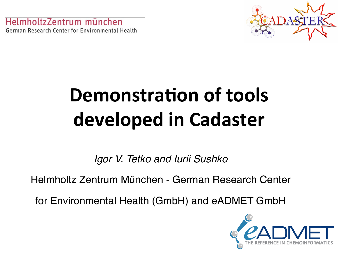mholtzZentrum münchen. German Research Center for Environmental Health



## **Demonstration of tools** developed in Cadaster

*Igor V. Tetko and Iurii Sushko*

Helmholtz Zentrum München - German Research Center

for Environmental Health (GmbH) and eADMET GmbH

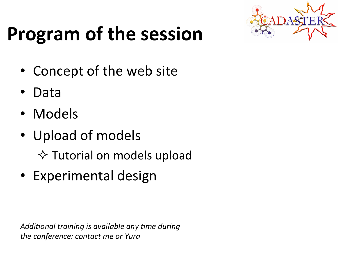## **Program of the session**



- Concept of the web site
- Data!
- Models
- Upload of models

 $\Diamond$  Tutorial on models upload

• Experimental design

Additional training is available any time during the conference: contact me or Yura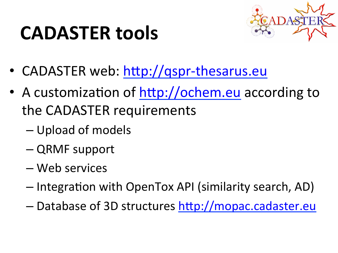### **CADASTER tools**



- CADASTER web: http://qspr-thesarus.eu
- A customization of http://ochem.eu according to the CADASTER requirements
	- Upload of models
	- QRMF!support!
	- Web!services!
	- Integration with OpenTox API (similarity search, AD)
	- Database of 3D structures http://mopac.cadaster.eu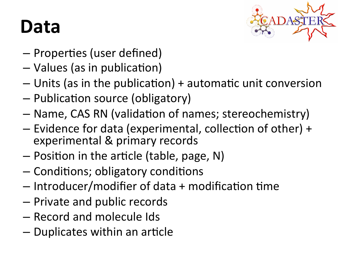#### Data



- Properties (user defined)
- Values (as in publication)
- $-$  Units (as in the publication) + automatic unit conversion
- $-$  Publication source (obligatory)
- Name, CAS RN (validation of names; stereochemistry)
- $-$  Evidence for data (experimental, collection of other) + experimental & primary records
- $-$  Position in the article (table, page, N)
- $-$  Conditions; obligatory conditions
- $-$  Introducer/modifier of data + modification time
- Private and public records
- Record!and!molecule!Ids!
- $-$  Duplicates within an article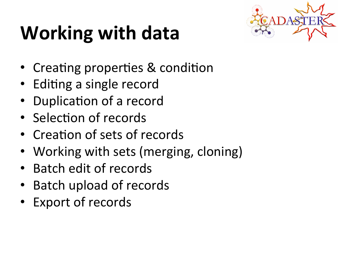## **Working with data**



- Creating properties & condition
- Editing a single record
- Duplication of a record
- Selection of records
- Creation of sets of records
- Working with sets (merging, cloning)
- Batch edit of records
- Batch upload of records
- Export of records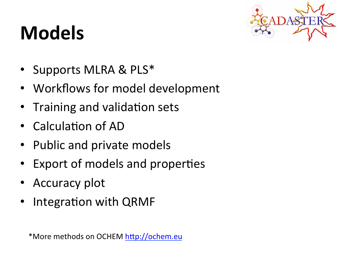### **Models+**



- Supports MLRA & PLS\*
- Workflows for model development
- Training and validation sets
- Calculation of AD
- Public and private models
- Export of models and properties
- Accuracy plot
- Integration with QRMF

\*More methods on OCHEM http://ochem.eu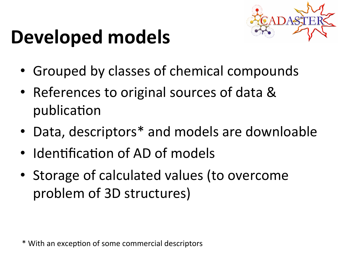#### Developed models



- Grouped by classes of chemical compounds
- References to original sources of data & publication
- Data, descriptors\* and models are downloable
- Identification of AD of models
- Storage of calculated values (to overcome problem of 3D structures)

\* With an exception of some commercial descriptors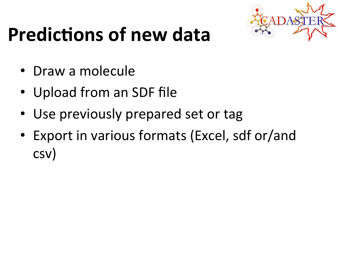

### **Predictions of new data**

- Draw a molecule
- Upload from an SDF file
- Use previously prepared set or tag
- Export in various formats (Excel, sdf or/and csv)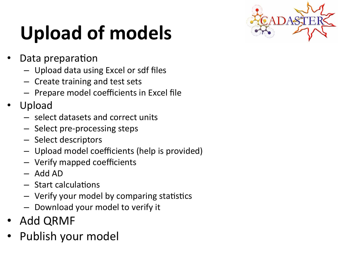# Upload of models



- Data preparation
	- Upload data using Excel or sdf files
	- $-$  Create training and test sets
	- $-$  Prepare model coefficients in Excel file
- Upload
	- select datasets and correct units
	- $-$  Select pre-processing steps
	- Select descriptors
	- Upload model coefficients (help is provided)
	- Verify mapped coefficients
	- $-$  Add AD
	- $-$  Start calculations
	- $-$  Verify your model by comparing statistics
	- Download your model to verify it
- Add QRMF
- Publish your model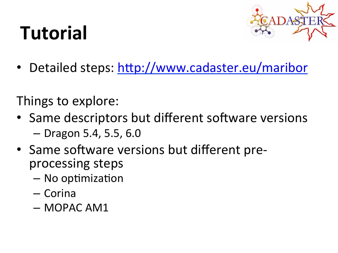## **Tutorial+**



• Detailed steps: http://www.cadaster.eu/maribor

Things to explore:

- Same descriptors but different software versions  $-$  Dragon 5.4, 5.5, 6.0
- Same software versions but different preprocessing steps
	- $-$  No optimization
	- Corina
	- MOPAC!AM1!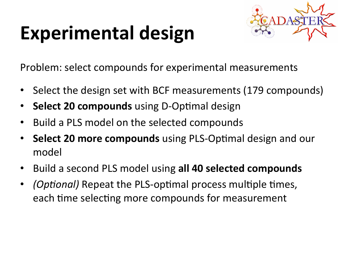## Experimental design



Problem: select compounds for experimental measurements

- Select the design set with BCF measurements (179 compounds)
- **Select 20 compounds** using D-Optimal design
- Build a PLS model on the selected compounds
- **Select 20 more compounds** using PLS-Optimal design and our model
- Build a second PLS model using all 40 selected compounds
- *(Optional)* Repeat the PLS-optimal process multiple times, each time selecting more compounds for measurement